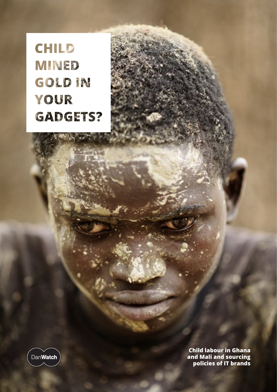**CHILD MINED** GOLDIN YOUR **GADGETS?** 



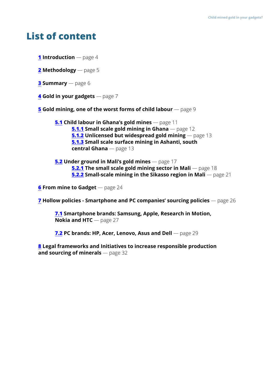# <span id="page-1-0"></span>**List of content**

- **[1](#page-3-0) Introduction** page 4
- **[2](#page-4-0) Methodology** page 5
- **[3](#page-5-0) Summary** page 6
- **[4](#page-6-0) Gold in your gadgets** page 7
- **[5](#page-8-0)** Gold mining, one of the worst forms of child labour page 9

**[5.1](#page-10-0) Child labour in Ghana's gold mines** — page 11 **[5.1.1](#page-11-0) Small scale gold mining in Ghana** — page 12  **[5.1.2](#page-12-0) Unlicensed but widespread gold mining** — page 13  **[5.1.3](#page-12-0) Small scale surface mining in Ashanti, south central Ghana** — page 13

**[5.2](#page-16-0) Under ground in Mali's gold mines** — page 17  **[5.2.1](#page-17-0) The small scale gold mining sector in Mali** — page 18  **[5.2.2](#page-20-0) Small-scale mining in the Sikasso region in Mali** — page 21

**[6](#page-23-0)** From mine to Gadget — page 24

**[7](#page-25-0) Hollow policies - Smartphone and PC companies' sourcing policies** — page 26

**[7.1](#page-26-0) Smartphone brands: Samsung, Apple, Research in Motion, Nokia and HTC** — page 27

**[7.2](#page-28-0) PC brands: HP, Acer, Lenovo, Asus and Dell** — page 29

**[8](#page-31-0) Legal frameworks and Initiatives to increase responsible production and sourcing of minerals** — page 32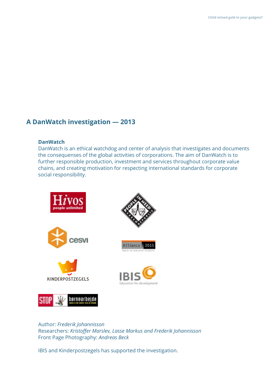## **A DanWatch investigation — 2013**

#### **DanWatch**

DanWatch is an ethical watchdog and center of analysis that investigates and documents the consequenses of the global activities of corporations. The aim of DanWatch is to further responsible production, investment and services throughout corporate value chains, and creating motivation for respecting international standards for corporate social responsibility.



Author: *Frederik Johannisson* Researchers: *Kristoffer Marslev, Lasse Markus and Frederik Johannisson* Front Page Photography: *Andreas Beck*

IBIS and Kinderpostzegels has supported the investigation.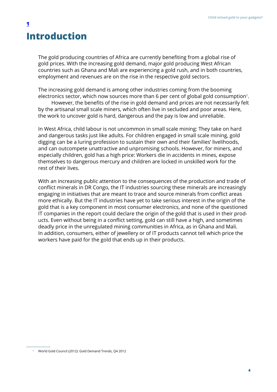# **Introduction**

<span id="page-3-0"></span>**[1](#page-1-0)**

The gold producing countries of Africa are currently benefiting from a global rise of gold prices. With the increasing gold demand, major gold producing West African countries such as Ghana and Mali are experiencing a gold rush, and in both countries, employment and revenues are on the rise in the respective gold sectors.

The increasing gold demand is among other industries coming from the booming electronics sector, which now sources more than 6 per cent of global gold consumption<sup>1</sup>.

However, the benefits of the rise in gold demand and prices are not necessarily felt by the artisanal small scale miners, which often live in secluded and poor areas. Here, the work to uncover gold is hard, dangerous and the pay is low and unreliable.

In West Africa, child labour is not uncommon in small scale mining: They take on hard and dangerous tasks just like adults. For children engaged in small scale mining, gold digging can be a luring profession to sustain their own and their families' livelihoods, and can outcompete unattractive and unpromising schools. However, for miners, and especially children, gold has a high price: Workers die in accidents in mines, expose themselves to dangerous mercury and children are locked in unskilled work for the rest of their lives.

With an increasing public attention to the consequences of the production and trade of conflict minerals in DR Congo, the IT industries sourcing these minerals are increasingly engaging in initiatives that are meant to trace and source minerals from conflict areas more ethically. But the IT industries have yet to take serious interest in the origin of the gold that is a key component in most consumer electronics, and none of the questioned IT companies in the report could declare the origin of the gold that is used in their products. Even without being in a conflict setting, gold can still have a high, and sometimes deadly price in the unregulated mining communities in Africa, as in Ghana and Mali. In addition, consumers, either of jewellery or of IT products cannot tell which price the workers have paid for the gold that ends up in their products.

<sup>&</sup>lt;sup>1</sup> World Gold Council (2012): Gold Demand Trends, Q4 2012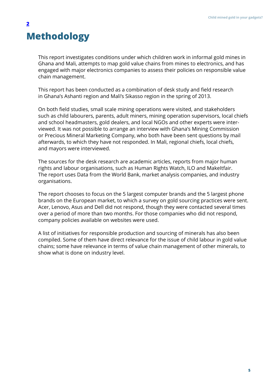# <span id="page-4-0"></span>**Methodology [2](#page-1-0)**

This report investigates conditions under which children work in informal gold mines in Ghana and Mali, attempts to map gold value chains from mines to electronics, and has engaged with major electronics companies to assess their policies on responsible value chain management.

This report has been conducted as a combination of desk study and field research in Ghana's Ashanti region and Mali's Sikasso region in the spring of 2013.

On both field studies, small scale mining operations were visited, and stakeholders such as child labourers, parents, adult miners, mining operation supervisors, local chiefs and school headmasters, gold dealers, and local NGOs and other experts were interviewed. It was not possible to arrange an interview with Ghana's Mining Commission or Precious Mineral Marketing Company, who both have been sent questions by mail afterwards, to which they have not responded. In Mali, regional chiefs, local chiefs, and mayors were interviewed.

The sources for the desk research are academic articles, reports from major human rights and labour organisations, such as Human Rights Watch, ILO and MakeItfair. The report uses Data from the World Bank, market analysis companies, and industry organisations.

The report chooses to focus on the 5 largest computer brands and the 5 largest phone brands on the European market, to which a survey on gold sourcing practices were sent. Acer, Lenovo, Asus and Dell did not respond, though they were contacted several times over a period of more than two months. For those companies who did not respond, company policies available on websites were used.

A list of initiatives for responsible production and sourcing of minerals has also been compiled. Some of them have direct relevance for the issue of child labour in gold value chains; some have relevance in terms of value chain management of other minerals, to show what is done on industry level.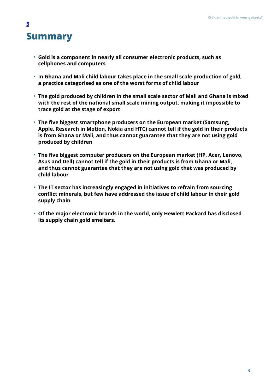# <span id="page-5-0"></span>**Summary**

- **Gold is a component in nearly all consumer electronic products, such as cellphones and computers**
- **In Ghana and Mali child labour takes place in the small scale production of gold, a practice categorised as one of the worst forms of child labour**
- **The gold produced by children in the small scale sector of Mali and Ghana is mixed with the rest of the national small scale mining output, making it impossible to trace gold at the stage of export**
- **The five biggest smartphone producers on the European market (Samsung, Apple, Research in Motion, Nokia and HTC) cannot tell if the gold in their products is from Ghana or Mali, and thus cannot guarantee that they are not using gold produced by children**
- **The five biggest computer producers on the European market (HP, Acer, Lenovo, Asus and Dell) cannot tell if the gold in their products is from Ghana or Mali, and thus cannot guarantee that they are not using gold that was produced by child labour**
- **The IT sector has increasingly engaged in initiatives to refrain from sourcing conflict minerals, but few have addressed the issue of child labour in their gold supply chain**
- **Of the major electronic brands in the world, only Hewlett Packard has disclosed its supply chain gold smelters.**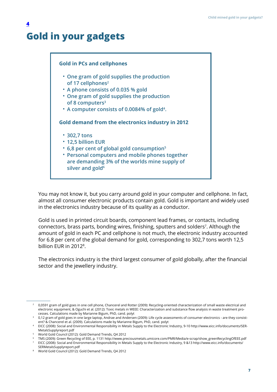# **Gold in your gadgets**

<span id="page-6-0"></span>**[4](#page-1-0)**



You may not know it, but you carry around gold in your computer and cellphone. In fact, almost all consumer electronic products contain gold. Gold is important and widely used in the electronics industry because of its quality as a conductor.

Gold is used in printed circuit boards, component lead frames, or contacts, including connectors, brass parts, bonding wires, finishing, sputters and solders<sup>7</sup>. Although the amount of gold in each PC and cellphone is not much, the electronic industry accounted for 6.8 per cent of the global demand for gold, corresponding to 302,7 tons worth 12,5 billion EUR in 2012<sup>8</sup>.

The electronics industry is the third largest consumer of gold globally, after the financial sector and the jewellery industry.

 $^2$  0,0591 gram of gold goes in one cell phone, Chancerel and Rotter (2009): Recycling-oriented characterization of small waste electrical and electronic equipment, & Oguchi et al. (2012): Toxic metals in WEEE: Characterization and substance flow analysis in waste treatment processes. Calculations made by Marianne Bigum, PhD, cand. polyt

 $^{\rm 3}$   $\,$  0,12 gram of gold goes in one large laptop, Andrae and Andersen (2009): Life cycle assessments of consumer electronics - are they consistent? & Chancerel et al. (2009). Calculations made by Marianne Bigum, PhD, cand. polyt

EICC (2008): Social and Environmental Responsibility in Metals Supply to the Electronic Industry, 9-10 [http://www.eicc.info/documents/SER](http://www.eicc.info/documents/SERMetalsSupplyreport.pdf)-[MetalsSupplyreport.pdf](http://www.eicc.info/documents/SERMetalsSupplyreport.pdf) 4

World Gold Council (2012): Gold Demand Trends, Q4 2012 5

TMS (2009): Green Recycling of EEE, p. 1131 [http://www.preciousmetals.umicore.com/PMR/Media/e-scrap/show\\_greenRecyclingOfEEE.pdf](http://www.preciousmetals.umicore.com/PMR/Media/e-scrap/show_greenRecyclingOfEEE.pdf) 6

EICC (2008): Social and Environmental Responsibility in Metals Supply to the Electronic Industry, 9 &13 [http://www.eicc.info/documents/](http://www.eicc.info/documents/SERMetalsSupplyreport.pdf) [SERMetalsSupplyreport.pdf](http://www.eicc.info/documents/SERMetalsSupplyreport.pdf) 7

World Gold Council (2012): Gold Demand Trends, Q4 2012 8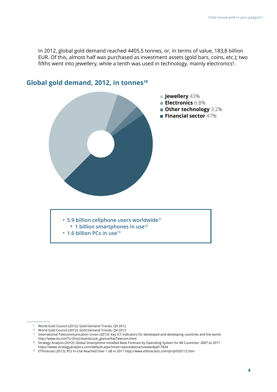In 2012, global gold demand reached 4405,5 tonnes, or, in terms of value, 183,8 billion EUR. Of this, almost half was purchased as investment assets (gold bars, coins, etc.); two fifths went into jewellery, while a tenth was used in technology, mainly electronics<sup>9</sup>.



### Global gold demand, 2012, in tonnes<sup>10</sup>

- **5.9 billion cellphone users worldwide11**
- **1 billion smartphones in use12**
- **1.6 billion PCs in use13**

World Gold Council (2012): Gold Demand Trends, Q4 2012 9

World Gold Council (2012): Gold Demand Trends, Q4 2012 10

<sup>&</sup>lt;sup>11</sup> International Telecommunication Union (2013): Key ICT indicators for developed and developing countries and the world [http://www.itu.int/ITU-D/ict/statistics/at\\_glance/KeyTelecom.html](http://www.itu.int/ITU-D/ict/statistics/at_glance/KeyTelecom.html)

 $12$  Strategy Analysis (2012): Global Smartphone Installed Base Forecast by Operating System for 88 Countries: 2007 to 2017 <https://www.strategyanalytics.com/default.aspx?mod=reportabstractviewer&a0=7834>

<sup>&</sup>lt;sup>13</sup> ETForecast (2012): PCs In-Use Reached Over 1.6B in 2011<http://www.etforecasts.com/pr/pr020112.htm>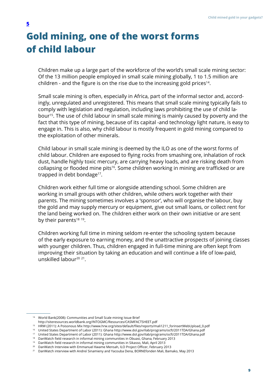# <span id="page-8-0"></span>**Gold mining, one of the worst forms of child labour**

Children make up a large part of the workforce of the world's small scale mining sector: Of the 13 million people employed in small scale mining globally, 1 to 1.5 million are children - and the figure is on the rise due to the increasing gold prices<sup>14</sup>.

Small scale mining is often, especially in Africa, part of the informal sector and, accordingly, unregulated and unregistered. This means that small scale mining typically fails to comply with legislation and regulation, including laws prohibiting the use of child labour15. The use of child labour in small scale mining is mainly caused by poverty and the fact that this type of mining, because of its capital -and technology light nature, is easy to engage in. This is also, why child labour is mostly frequent in gold mining compared to the exploitation of other minerals.

Child labour in small scale mining is deemed by the ILO as one of the worst forms of child labour. Children are exposed to flying rocks from smashing ore, inhalation of rock dust, handle highly toxic mercury, are carrying heavy loads, and are risking death from collapsing or flooded mine pits<sup>16</sup>*.* Some children working in mining are trafficked or are trapped in debt bondage<sup>17</sup>.

Children work either full time or alongside attending school. Some children are working in small groups with other children, while others work together with their parents. The mining sometimes involves a 'sponsor', who will organise the labour, buy the gold and may supply mercury or equipment, give out small loans, or collect rent for the land being worked on. The children either work on their own initiative or are sent by their parents<sup>18 19</sup>.

Children working full time in mining seldom re-enter the schooling system because of the early exposure to earning money, and the unattractive prospects of joining classes with younger children. Thus, children engaged in full-time mining are often kept from improving their situation by taking an education and will continue a life of low-paid, unskilled labour<sup>20</sup><sup>21</sup>.

<sup>&</sup>lt;sup>14</sup> World Bank(2008): Communities and Small Scale mining Issue Brief

<http://siteresources.worldbank.org/INTOGMC/Resources/CASMFACTSHEET.pdf>

<sup>15</sup> HRW (2011): A Poisonous Mix [http://www.hrw.org/sites/default/files/reports/mali1211\\_forinsertWebUpload\\_0.pdf](http://www.hrw.org/sites/default/files/reports/mali1211_forinsertWebUpload_0.pdf)

<sup>&</sup>lt;sup>16</sup> United States Department of Labor (2011): Ghana<http://www.dol.gov/ilab/programs/ocft/2011TDA/Ghana.pdf>

<sup>&</sup>lt;sup>17</sup> United States Department of Labor (2011): Ghana<http://www.dol.gov/ilab/programs/ocft/2011TDA/Ghana.pdf>

<sup>&</sup>lt;sup>18</sup> DanWatch field research in informal mining communities in Obuasi, Ghana, February 2013

<sup>&</sup>lt;sup>19</sup> DanWatch field research in informal mining communities in Sikasso, Mali, April 2013  $^{\rm 20}$   $\,$  DanWatch Interview with Emmanuel Kwame Mensah, ILO Project Officer, February 2013

 $^\mathrm{21}$   $\,$  DanWatch interview with Andreí Sinamieny and Yacouba Dena, BORNEfonden Mali, Bamako, May 2013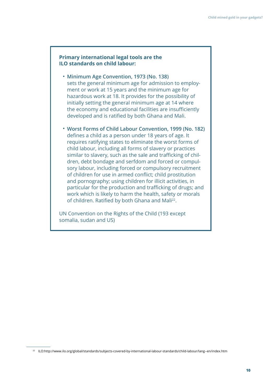#### **Primary international legal tools are the ILO standards on child labour:**

- **Minimum Age Convention, 1973 (No. 138)** sets the general minimum age for admission to employment or work at 15 years and the minimum age for hazardous work at 18. It provides for the possibility of initially setting the general minimum age at 14 where the economy and educational facilities are insufficiently developed and is ratified by both Ghana and Mali.
- **Worst Forms of Child Labour Convention, 1999 (No. 182)** defines a child as a person under 18 years of age. It requires ratifying states to eliminate the worst forms of child labour, including all forms of slavery or practices similar to slavery, such as the sale and trafficking of children, debt bondage and serfdom and forced or compulsory labour, including forced or compulsory recruitment of children for use in armed conflict; child prostitution and pornography; using children for illicit activities, in particular for the production and trafficking of drugs; and work which is likely to harm the health, safety or morals of children. Ratified by both Ghana and Mali<sup>22</sup>.

UN Convention on the Rights of the Child (193 except somalia, sudan and US)

<sup>22</sup> ILO:http://www.ilo.org/global/standards/subjects-covered-by-international-labour-standards/child-labour/lang--en/index.htm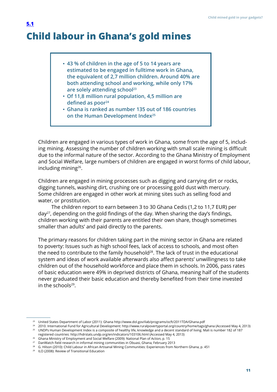# <span id="page-10-0"></span>**Child labour in Ghana's gold mines [5.1](#page-1-0)**

- **43 % of children in the age of 5 to 14 years are estimated to be engaged in fulltime work in Ghana, the equivalent of 2,7 million children. Around 40% are both attending school and working, while only 17% are solely attending school23**
- **Of 11,8 million rural population, 4,5 million are defined as poor<sup>24</sup>**
- **Ghana is ranked as number 135 out of 186 countries on the Human Development Index25**

Children are engaged in various types of work in Ghana, some from the age of 5, including mining. Assessing the number of children working with small scale mining is difficult due to the informal nature of the sector. According to the Ghana Ministry of Employment and Social Welfare, large numbers of children are engaged in worst forms of child labour, including mining<sup>26</sup>.

Children are engaged in mining processes such as digging and carrying dirt or rocks, digging tunnels, washing dirt, crushing ore or processing gold dust with mercury. Some children are engaged in other work at mining sites such as selling food and water, or prostitution.

The children report to earn between 3 to 30 Ghana Cedis (1,2 to 11,7 EUR) per day27, depending on the gold findings of the day. When sharing the day's findings, children working with their parents are entitled their own share, though sometimes smaller than adults' and paid directly to the parents.

The primary reasons for children taking part in the mining sector in Ghana are related to poverty: Issues such as high school fees, lack of access to schools, and most often the need to contribute to the family household<sup>28</sup>. The lack of trust in the educational system and ideas of work available afterwards also affect parents' unwillingness to take children out of the household workforce and place them in schools. In 2006, pass rates of basic education were 49% in deprived districts of Ghana, meaning half of the students never graduated their basic education and thereby benefited from their time invested in the schools<sup>29</sup>.

 $^{23}$  United States Department of Labor (2011): Ghana<http://www.dol.gov/ilab/programs/ocft/2011TDA/Ghana.pdf>

<sup>2010.</sup> International Fund for Agricultural Development:<http://www.ruralpovertyportal.org/country/home/tags/ghana>(Accessed May 4, 2013) 24

<sup>&</sup>lt;sup>25</sup> UNDPs Human Development Index is a composite of healthy life, knowledge and a decent standard of living. Mali is number 182 of 187 registered countries:<http://hdrstats.undp.org/en/indicators/103106.html>(Accessed May 4, 2013)

 $^{26}$  Ghana Ministry of Employment and Social Welfare (2009): National Plan of Action, p. 15  $\,$ 

 $^{27}$  DanWatch field research in informal mining communities in Obuasi, Ghana, February 2013

 $^{\rm 28}$   $\,$  G. Hilson (2010): Child Labour in African Artisanal Mining Communities: Experiences from Northern Ghana, p. 451

<sup>&</sup>lt;sup>29</sup> ILO (2008): Review of Transitional Education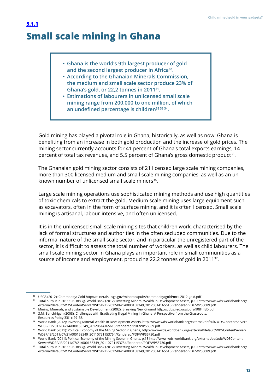# <span id="page-11-0"></span>**Small scale mining in Ghana**

- **Ghana is the world's 9th largest producer of gold and the second largest producer in Africa30.**
- **According to the Ghanaian Minerals Commission, the medium and small scale sector produce 23% of Ghana's gold, or 22,2 tonnes in 201131.**
- **Estimations of labourers in unlicensed small scale mining range from 200.000 to one million, of which an undefined percentage is children32 33 34.**

Gold mining has played a pivotal role in Ghana, historically, as well as now: Ghana is benefiting from an increase in both gold production and the increase of gold prices. The mining sector currently accounts for 41 percent of Ghana's total exports earnings, 14 percent of total tax revenues, and 5.5 percent of Ghana's gross domestic product<sup>35</sup>.

The Ghanaian gold mining sector consists of 21 licensed large scale mining companies, more than 300 licensed medium and small scale mining companies, as well as an unknown number of unlicensed small scale miners<sup>36</sup>.

Large scale mining operations use sophisticated mining methods and use high quantities of toxic chemicals to extract the gold. Medium scale mining uses large equipment such as excavators, often in the form of surface mining, and it is often licensed. Small scale mining is artisanal, labour-intensive, and often unlicensed.

It is in the unlicensed small scale mining sites that children work, characterised by the lack of formal structures and authorities in the often secluded communities. Due to the informal nature of the small scale sector, and in particular the unregistered part of the sector, it is difficult to assess the total number of workers, as well as child labourers. The small scale mining sector in Ghana plays an important role in small communities as a source of income and employment, producing 22,2 tonnes of gold in 201137.

USGS (2012): Commodity: Gold <http://minerals.usgs.gov/minerals/pubs/commodity/gold/mcs-2012-gold.pdf> 30

 $^{\rm 31}$  Total output in 2011: 96.388 kg. World Bank (2012): Investing Mineral Wealth in Development Assets, p.10 [http://www-wds.worldbank.org/](http://www-wds.worldbank.org/external/default/WDSContentServer/WDSP/IB/2012/06/14/000158349_20120614165615/Rendered/PDF/WPS6089.pdf) [external/default/WDSContentServer/WDSP/IB/2012/06/14/000158349\\_20120614165615/Rendered/PDF/WPS6089.pdf](http://www-wds.worldbank.org/external/default/WDSContentServer/WDSP/IB/2012/06/14/000158349_20120614165615/Rendered/PDF/WPS6089.pdf)

 $32$  Mining, Minerals, and Sustainable Development (2002): Breaking New Ground<http://pubs.iied.org/pdfs/9084IIED.pdf>

<sup>33</sup> S.M. Banchirigah (2008): Challenges with Eradicating Illegal Mining in Ghana: A Perspective from the Grassroots, Resources Policy 33(1): 29–38.

World Bank (2012): Investing Mineral Wealth in Development Assets, [http://www-wds.worldbank.org/external/default/WDSContentServer/](http://www-wds.worldbank.org/external/default/WDSContentServer/WDSP/IB/2012/06/14/000158349_20120614165615/Rendered/PDF/WPS6089.pdf) 34 [WDSP/IB/2012/06/14/000158349\\_20120614165615/Rendered/PDF/WPS6089.pdf](http://www-wds.worldbank.org/external/default/WDSContentServer/WDSP/IB/2012/06/14/000158349_20120614165615/Rendered/PDF/WPS6089.pdf)

 $\,^{\rm 35} \,$  World Bank (2011): Political Economy of the Mining Sector in Ghana, [http://www-wds.worldbank.org/external/default/WDSContentServer/](http://www-wds.worldbank.org/external/default/WDSContentServer/WDSP/IB/2011/07/21/000158349_20110721153754/Rendered/PDF/WPS5730.pdf) [WDSP/IB/2011/07/21/000158349\\_20110721153754/Rendered/PDF/WPS5730.pdf](http://www-wds.worldbank.org/external/default/WDSContentServer/WDSP/IB/2011/07/21/000158349_20110721153754/Rendered/PDF/WPS5730.pdf)

World Bank (2011): Political Economy of the Mining Sector in Ghana, p.13 [http://www-wds.worldbank.org/external/default/WDSContent](http://www-wds.worldbank.org/external/default/WDSContentServer/WDSP/IB/2011/07/21/000158349_20110721153754/Rendered/PDF/WPS5730.pdf)-36 [Server/WDSP/IB/2011/07/21/000158349\\_20110721153754/Rendered/PDF/WPS5730.pdf](http://www-wds.worldbank.org/external/default/WDSContentServer/WDSP/IB/2011/07/21/000158349_20110721153754/Rendered/PDF/WPS5730.pdf)

 $^{\rm 37}$   $\,$  Total output in 2011: 96.388 kg. World Bank (2012): Investing Mineral Wealth in Development Assets, p.10 [http://www-wds.worldbank.org/](http://www-wds.worldbank.org/external/default/WDSContentServer/WDSP/IB/2012/06/14/000158349_20120614165615/Rendered/PDF/WPS6089.pdf) [external/default/WDSContentServer/WDSP/IB/2012/06/14/000158349\\_20120614165615/Rendered/PDF/WPS6089.pdf](http://www-wds.worldbank.org/external/default/WDSContentServer/WDSP/IB/2012/06/14/000158349_20120614165615/Rendered/PDF/WPS6089.pdf)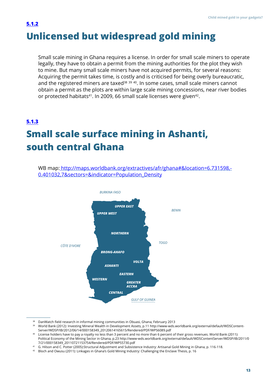# <span id="page-12-0"></span>**Unlicensed but widespread gold mining [5.1.2](#page-1-0)**

Small scale mining in Ghana requires a license. In order for small scale miners to operate legally, they have to obtain a permit from the mining authorities for the plot they wish to mine. But many small scale miners have not acquired permits, for several reasons: Acquiring the permit takes time, is costly and is criticised for being overly bureaucratic, and the registered miners are taxed<sup>38</sup> 39 40. In some cases, small scale miners cannot obtain a permit as the plots are within large scale mining concessions, near river bodies or protected habitats<sup>41</sup>. In 2009, 66 small scale licenses were given<sup>42</sup>.

# **Small scale surface mining in Ashanti, south central Ghana [5.1.3](#page-1-0)**

WB map: http://maps.worldbank.org/extractives/afr/ghana#&location=6.731598,-0.401032,7&sectors=&indicator=Population\_Density



<sup>&</sup>lt;sup>38</sup> DanWatch field research in informal mining communities in Obuasi, Ghana, February 2013

<sup>&</sup>lt;sup>39</sup> World Bank (2012): Investing Mineral Wealth in Development Assets, p.11 [http://www-wds.worldbank.org/external/default/WDSContent](http://www-wds.worldbank.org/external/default/WDSContentServer/WDSP/IB/2012/06/14/000158349_20120614165615/Rendered/PDF/WPS6089.pdf)-[Server/WDSP/IB/2012/06/14/000158349\\_20120614165615/Rendered/PDF/WPS6089.pdf](http://www-wds.worldbank.org/external/default/WDSContentServer/WDSP/IB/2012/06/14/000158349_20120614165615/Rendered/PDF/WPS6089.pdf)

License holders have to pay a royalty no less than 3 percent and no more than 6 percent of their gross revenues. World Bank (2011): 40 Political Economy of the Mining Sector in Ghana, p.23 [http://www-wds.worldbank.org/external/default/WDSContentServer/WDSP/IB/2011/0](http://www-wds.worldbank.org/external/default/WDSContentServer/WDSP/IB/2011/07/21/000158349_20110721153754/Rendered/PDF/WPS5730.pdf) [7/21/000158349\\_20110721153754/Rendered/PDF/WPS5730.pdf](http://www-wds.worldbank.org/external/default/WDSContentServer/WDSP/IB/2011/07/21/000158349_20110721153754/Rendered/PDF/WPS5730.pdf)

G. Hilson and C. Potter (2005):Structural Adjustment and Subsistence Industry: Artisanal Gold Mining in Ghana, p. 116-118. 41

<sup>&</sup>lt;sup>42</sup> Bloch and Owusu (2011): Linkages in Ghana's Gold Mining Industry: Challenging the Enclave Thesis, p. 16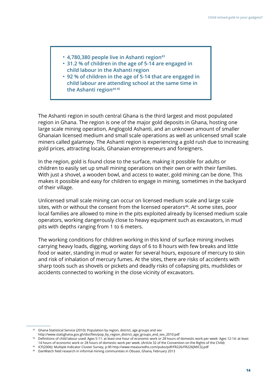- **4,780,380 people live in Ashanti region43**
- **31.2 % of children in the age of 5-14 are engaged in child labour in the Ashanti region**
- **92 % of children in the age of 5-14 that are engaged in child labour are attending school at the same time in**  the Ashanti region<sup>44 45</sup>

The Ashanti region in south central Ghana is the third largest and most populated region in Ghana. The region is one of the major gold deposits in Ghana, hosting one large scale mining operation, Anglogold Ashanti, and an unknown amount of smaller Ghanaian licensed medium and small scale operations as well as unlicensed small scale miners called galamsey. The Ashanti region is experiencing a gold rush due to increasing gold prices, attracting locals, Ghanaian entrepreneurs and foreigners.

In the region, gold is found close to the surface, making it possible for adults or children to easily set up small mining operations on their own or with their families. With just a shovel, a wooden bowl, and access to water, gold mining can be done. This makes it possible and easy for children to engage in mining, sometimes in the backyard of their village.

Unlicensed small scale mining can occur on licensed medium scale and large scale sites, with or without the consent from the licensed operators<sup>46</sup>. At some sites, poor local families are allowed to mine in the pits exploited already by licensed medium scale operators, working dangerously close to heavy equipment such as excavators, in mud pits with depths ranging from 1 to 6 meters.

The working conditions for children working in this kind of surface mining involves carrying heavy loads, digging, working days of 6 to 8 hours with few breaks and little food or water, standing in mud or water for several hours, exposure of mercury to skin and risk of inhalation of mercury fumes. At the sites, there are risks of accidents with sharp tools such as shovels or pickets and deadly risks of collapsing pits, mudslides or accidents connected to working in the close vicinity of excavators.

 $43$  Ghana Statistical Service (2010): Population by region, district, age groups and sex

[http://www.statsghana.gov.gh/docfiles/pop\\_by\\_region\\_district\\_age\\_groups\\_and\\_sex\\_2010.pdf](http://www.statsghana.gov.gh/docfiles/pop_by_region_district_age_groups_and_sex_2010.pdf)

Definitions of child labour used: Ages 5-11: at least one hour of economic work or 28 hours of domestic work per week· Ages 12-14: at least 44 14 hours of economic work or 28 hours of domestic work per week. (Article 32 of the Convention on the Rights of the Child)

ICF(2006): Multiple Indicator Cluster Survey, p.90 http://www.measuredhs.com/pubs/pdf/FR226/FR226[MICS].pdf 45

<sup>&</sup>lt;sup>46</sup> DanWatch field research in informal mining communities in Obuasi, Ghana, February 2013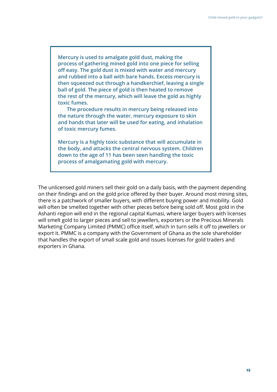**Mercury is used to amalgate gold dust, making the process of gathering mined gold into one piece for selling off easy. The gold dust is mixed with water and mercury and rubbed into a ball with bare hands. Excess mercury is then squeezed out through a handkerchief, leaving a single ball of gold. The piece of gold is then heated to remove the rest of the mercury, which will leave the gold as highly toxic fumes.** 

**The procedure results in mercury being released into the nature through the water, mercury exposure to skin and hands that later will be used for eating, and inhalation of toxic mercury fumes.** 

**Mercury is a highly toxic substance that will accumulate in the body, and attacks the central nervous system. Children down to the age of 11 has been seen handling the toxic process of amalgamating gold with mercury.**

The unlicensed gold miners sell their gold on a daily basis, with the payment depending on their findings and on the gold price offered by their buyer. Around most mining sites, there is a patchwork of smaller buyers, with different buying power and mobility. Gold will often be smelted together with other pieces before being sold off. Most gold in the Ashanti region will end in the regional capital Kumasi, where larger buyers with licenses will smelt gold to larger pieces and sell to jewellers, exporters or the Precious Minerals Marketing Company Limited (PMMC) office itself, which in turn sells it off to jewellers or export it. PMMC is a company with the Government of Ghana as the sole shareholder that handles the export of small scale gold and issues licenses for gold traders and exporters in Ghana.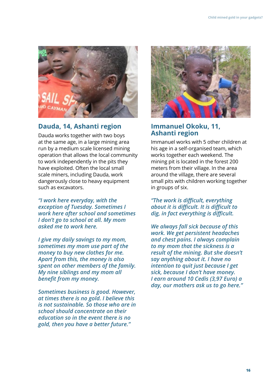

### **Dauda, 14, Ashanti region Immanuel Okoku, 11,**

Dauda works together with two boys at the same age, in a large mining area run by a medium scale licensed mining operation that allows the local community to work independently in the pits they have exploited. Often the local small scale miners, including Dauda, work dangerously close to heavy equipment such as excavators.

*"I work here everyday, with the exception of Tuesday. Sometimes I work here after school and sometimes I don't go to school at all. My mom asked me to work here.*

*I give my daily savings to my mom, sometimes my mom use part of the money to buy new clothes for me. Apart from this, the money is also spent on other members of the family. My nine siblings and my mom all benefit from my money.*

*Sometimes business is good. However, at times there is no gold. I believe this is not sustainable. So those who are in school should concentrate on their education so in the event there is no gold, then you have a better future."*



# **Ashanti region**

Immanuel works with 5 other children at his age in a self-organised team, which works together each weekend. The mining pit is located in the forest 200 meters from their village. In the area around the village, there are several small pits with children working together in groups of six.

*"The work is difficult, everything about it is difficult. It is difficult to dig, in fact everything is difficult.*

*We always fall sick because of this work. We get persistent headaches and chest pains. I always complain to my mom that the sickness is a result of the mining. But she doesn't say anything about it. I have no intention to quit just because I get sick, because I don't have money. I earn around 10 Cedis (3,97 Euro) a day, our mothers ask us to go here."*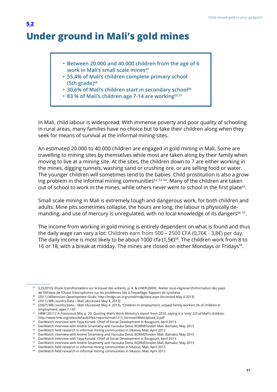# **Under ground in Mali's gold mines**

<span id="page-16-0"></span>**[5.2](#page-1-0)**

- **Between 20.000 and 40.000 children from the age of 6**  work in Mali's small scale mines<sup>47</sup>
- **55,4% of Mali's children complete primary school (5th grade)48**
- **30,6% of Mali's children start in secondary school<sup>49</sup>**
- **83 % of Mali's children age 7-14 are working50 51**

In Mali, child labour is widespread: With immense poverty and poor quality of schooling in rural areas, many families have no choice but to take their children along when they seek for means of survival at the informal mining sites.

An estimated 20.000 to 40.000 children are engaged in gold mining in Mali. Some are travelling to mining sites by themselves while most are taken along by their family when moving to live at a mining site. At the sites, the children down to 7 are either working in the mines, digging tunnels, washing sand or crushing ore, or are selling food or water. The younger children will sometimes tend to the babies. Child prostitution is also a growing problem in the informal mining communities<sup>52 53 54</sup>. Many of the children are taken out of school to work in the mines, while others never went to school in the first place<sup>55</sup>.

Small scale mining in Mali is extremely tough and dangerous work, for both children and adults. Mine pits sometimes collapse, the hours are long, the labour is physically demanding, and use of mercury is unregulated, with no local knowledge of its dangers<sup>56 57</sup>.

The income from working in gold mining is entirely dependent on what is found and thus the daily wage can vary a lot: Children earn from 500 – 2500 CFA (0,76€ - 3,8€) per day. The daily income is most likely to be about 1000 cfa (1,5 $\epsilon$ )<sup>58</sup>. The children work from 8 to 16 or 18, with a break at midday. The mines are closed on either Mondays or Fridays<sup>59</sup>.

(2011) WB country Data – Mali. (Accessed May 4, 2013) 49

 $^{47}$   $\,$  ILO(2010): Etude transfrontalière sur le travail des enfants, p. 9. & UNEP(2009): Atelier sous-régional d'information des pays de l'Afrique de l'Ouest francophones sur les problèmes liés à l'orpaillage. Rapport de synthèse

<sup>(2011)</sup> Millennium Development Goals:<http://mdgs.un.org/unsd/mdg/data.aspx> (Accessed May 4 2013) 48

 $^{50}$  (2007) WB country Data – Mali. (Accessed May 4, 2013). "Children in employment, unpaid family workers (% of children in employment, ages 7-14)"

<sup>&</sup>lt;sup>51</sup> HRW (2011): A Poisonous Mix, p. 20: Quoting Mali's Work Ministry's report from 2010, saying it is 'only' 2/3 of Mali's children. [http://www.hrw.org/sites/default/files/reports/mali1211\\_forinsertWebUpload\\_0.pdf](http://www.hrw.org/sites/default/files/reports/mali1211_forinsertWebUpload_0.pdf)

 $52$  DanWatch interview with Yaya Konatè. Chief of Social Development in Bougouni, April 2013.

 $^{\text{\tiny{53}}}$   $\,$  DanWatch interview with Andreí Sinamieny and Yacouba Dena, BORNEfonden Mali, Bamako, May 2013

<sup>&</sup>lt;sup>54</sup> DanWatch field research in informal mining communities in Sikasso, Mali, April 2013

 $^{\rm 55}$   $\,$  DanWatch interview with Andreí Sinamieny and Yacouba Dena, BORNEfonden Mali, Bamako, May 2013

 $56$  DanWatch interview with Yaya Konatè. Chief of Social Development in Bougouni, April 2013.

 $^{\text{\tiny{57}}}$   $\,$  DanWatch interview with Andreí Sinamieny and Yacouba Dena, BORNEfonden Mali, Bamako, May 2013

 $58$  DanWatch field research in informal mining communities in Sikasso, Mali, April 2013

 $59$  DanWatch field research in informal mining communities in Sikasso, Mali, April 2013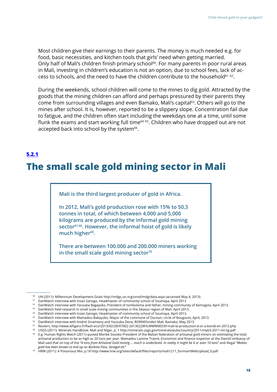<span id="page-17-0"></span>Most children give their earnings to their parents. The money is much needed e.g. for food, basic necessities, and kitchen tools that girls' need when getting married. Only half of Mali's children finish primary school<sup>60</sup>. For many parents in poor rural areas in Mali, investing in children's education is not an option, due to school fees, lack of access to schools, and the need to have the children contribute to the household<sup>61 62</sup>.

During the weekends, school children will come to the mines to dig gold. Attracted by the goods that the mining children can afford and perhaps pressured by their parents they come from surrounding villages and even Bamako, Mali's capital<sup>63</sup>. Others will go to the mines after school. It is, however, reported to be a slippery slope. Concentration fail due to fatigue, and the children often start including the weekdays one at a time, until some flunk the exams and start working full time<sup>64 65</sup>. Children who have dropped out are not accepted back into school by the system<sup>66</sup>.

#### **[5.2.1](#page-1-0)**

# **The small scale gold mining sector in Mali**

**Mali is the third largest producer of gold in Africa.**

**In 2012, Mali's gold production rose with 15% to 50,3 tonnes in total, of which between 4,000 and 5,000 kilograms are produced by the informal gold mining sector67 68. However, the informal hoist of gold is likely**  much higher<sup>69</sup>.

**There are between 100.000 and 200.000 miners working**  in the small scale gold mining sector<sup>70</sup>

UN (2011): Millennium Development Goals<http://mdgs.un.org/unsd/mdg/data.aspx>(accessed May 4, 2013) 60

 $61$  DanWatch interview with Inzan Sanogo, Headmaster of community school of Soumaya, April 2013

 $^{62}$  DanWatch interview with Yacouba Bagayoko, President of tomboloma and father, mining community of Kemogola, April 2013.

 $63$  DanWatch field research in small scale mining communities in the Sikasso region of Mali. April 2013.

<sup>&</sup>lt;sup>64</sup> DanWatch interview with Inzan Sanogo, Headmaster of community school of Soumaya, April 2013.

 $65$  DanWatch interview with Mamadou Bakayoko, Mayor of the commune of Ouroun, circle of Bougouni, April, 2013.

 $^{\rm 66}$  DanWatch interview with Andreí Sinamieny and Yacouba Dena, BORNEfonden Mali, Bamako, May 2013.

 $^{67}$  Reuters, <http://www.lefigaro.fr/flash-eco/2013/02/28/97002-20130228FILWWW00539-mali-la-production-d-or-a-bondi-en-2012.php>

USGS (2011): Minerals Handbook: Mali and Niger, p. 1<http://minerals.usgs.gov/minerals/pubs/country/2011/myb3-2011-ml-ng.pdf> 68  $^{69}$  E.g. Human Rights Watch (2011) quoted Morike Sissoko President of the Malian federation of artisanal gold miners on estimating the total artisanal production to be as high as 20 tons per year. Mamadou Lamine Traoré, Economist and finance inspector at the Danish embassy of Mali said that on top of the *"4 tons from Artisanal Gold mining … much is undeclared. In reality it might be 6 or even 10 tons"* and illegal *"Malian gold has been known to end up on Burkina Faso, Senegal etc"*

 $^{\rm 70}$   $\,$  HRW (2011): A Poisonous Mix, p.18 [http://www.hrw.org/sites/default/files/reports/mali1211\\_forinsertWebUpload\\_0.pdf](http://www.hrw.org/sites/default/files/reports/mali1211_forinsertWebUpload_0.pdf)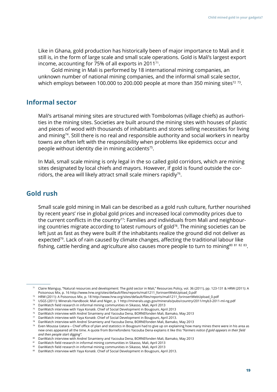Like in Ghana, gold production has historically been of major importance to Mali and it still is, in the form of large scale and small scale operations. Gold is Mali's largest export income, accounting for 75% of all exports in 201171.

Gold mining in Mali is performed by 18 international mining companies, an unknown number of national mining companies, and the informal small scale sector, which employs between 100.000 to 200.000 people at more than 350 mining sites<sup>72 73</sup>.

#### **Informal sector**

Mali's artisanal mining sites are structured with Tombolomas (village chiefs) as authorities in the mining sites. Societies are built around the mining sites with houses of plastic and pieces of wood with thousands of inhabitants and stores selling necessities for living and mining<sup>74</sup>. Still there is no real and responsible authority and social workers in nearby towns are often left with the responsibility when problems like epidemics occur and people without identity die in mining accidents<sup>75</sup>.

In Mali, small scale mining is only legal in the so called gold corridors, which are mining sites designated by local chiefs and mayors. However, if gold is found outside the corridors, the area will likely attract small scale miners rapidly<sup>76</sup>.

# **Gold rush**

Small scale gold mining in Mali can be described as a gold rush culture, further nourished by recent years' rise in global gold prices and increased local commodity prices due to the current conflicts in the country<sup>77</sup>: Families and individuals from Mali and neighbouring countries migrate according to latest rumours of gold<sup>78</sup>. The mining societies can be left just as fast as they were built if the inhabitants realize the ground did not deliver as expected<sup>79</sup>. Lack of rain caused by climate changes, affecting the traditional labour like fishing, cattle herding and agriculture also causes more people to turn to mining<sup>80 81 82 83</sup>.

<sup>&</sup>lt;sup>71</sup> Claire Mainguy, "Natural resources and development: The gold sector in Mali," Resources Policy, vol. 36 (2011), pp. 123-131 & HRW (2011): A Poisonous Mix, p. 16 [http://www.hrw.org/sites/default/files/reports/mali1211\\_forinsertWebUpload\\_0.pdf](http://www.hrw.org/sites/default/files/reports/mali1211_forinsertWebUpload_0.pdf)

 $^{\rm 72}$   $\,$  HRW (2011): A Poisonous Mix, p. 18 [http://www.hrw.org/sites/default/files/reports/mali1211\\_forinsertWebUpload\\_0.pdf](http://www.hrw.org/sites/default/files/reports/mali1211_forinsertWebUpload_0.pdf)

<sup>&</sup>lt;sup>73</sup> USGS (2011): Minerals Handbook: Mali and Niger, p. 1<http://minerals.usgs.gov/minerals/pubs/country/2011/myb3-2011-ml-ng.pdf>

 $^{\rm 74}$   $\,$  DanWatch field research in informal mining communities in Sikasso, Mali, April 2013

 $^{\rm 75}$   $\,$  DanWatch interview with Yaya Konatè. Chief of Social Development in Bougouni, April 2013

 $^{\rm 76}$   $\,$  DanWatch interview with Andreí Sinamieny and Yacouba Dena, BORNEfonden Mali, Bamako, May 2013

 $^{\mathrm{77}}$   $\,$  DanWatch interview with Yaya Konatè. Chief of Social Development in Bougouni, April 2013.

 $^{\rm 78}$   $\,$  DanWatch interview with Andreí Sinamieny and Yacouba Dena, BORNEfonden Mali, Bamako, May 2013

 $^{\rm 79}$  Even Moussa Uatara – Chief office of plan and statistics in Bougouni had to give up on explaining how many mines there were in his area as new ones appeared all the time. A quote from Bornefondens Yacouba Dena explains it like this *"Farmers notice if gold appears in their field and then people start digging".*

 $^{\text{\tiny{80}}}$   $\,$  DanWatch interview with Andreí Sinamieny and Yacouba Dena, <code>BORNEfonden</code> Mali, Bamako, May 2013

 $81$  DanWatch field research in informal mining communities in Sikasso, Mali, April 2013

<sup>&</sup>lt;sup>82</sup> DanWatch field research in informal mining communities in Sikasso, Mali, April 2013

 $83$  DanWatch interview with Yaya Konatè. Chief of Social Development in Bougouni, April 2013.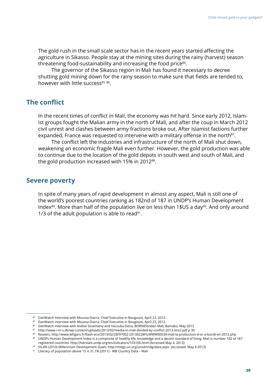The gold rush in the small scale sector has in the recent years started affecting the agriculture in Sikasso. People stay at the mining sites during the rainy (harvest) season threatening food-sustainability and increasing the food price<sup>84</sup>.

The governor of the Sikasso region in Mali has found it necessary to decree shutting gold mining down for the rainy season to make sure that fields are tended to, however with little success<sup>85 86</sup>.

#### **The conflict**

In the recent times of conflict in Mali, the economy was hit hard. Since early 2012, Islamist groups fought the Malian army in the north of Mali, and after the coup in March 2012 civil unrest and clashes between army fractions broke out. After Islamist factions further expanded, France was requested to intervene with a military offense in the north<sup>87</sup>.

The conflict left the industries and infrastructure of the north of Mali shut down, weakening an economic fragile Mali even further. However, the gold production was able to continue due to the location of the gold depots in south west and south of Mali, and the gold production increased with 15% in 2012<sup>88</sup>.

#### **Severe poverty**

In spite of many years of rapid development in almost any aspect, Mali is still one of the world's poorest countries ranking as 182nd of 187 in UNDP's Human Development Index<sup>89</sup>. More than half of the population live on less than 1\$US a day<sup>90</sup>. And only around 1/3 of the adult population is able to read<sup>91</sup>.

<sup>84</sup> DanWatch interview with Moussa Diarra, Chief Executive in Bougouni, April 23, 2013.

 $85$  DanWatch interview with Moussa Diarra, Chief Executive in Bougouni, April 23, 2012.

<sup>&</sup>lt;sup>86</sup> DanWatch interview with Andreí Sinamieny and Yacouba Dena, BORNEfonden Mali, Bamako, May 2013

<sup>&</sup>lt;sup>87</sup> <http://www.i-m-s.dk/wp-content/uploads/2013/02/media-in-mali-divided-by-conflict-2013-ims2.pdf>p 30

Reuters, <http://www.lefigaro.fr/flash-eco/2013/02/28/97002-20130228FILWWW00539-mali-la-production-d-or-a-bondi-en-2012.php> 88  $^{\circ\circ}$  UNDPs Human Development Index is a composite of healthy life, knowledge and a decent standard of living. Mali is number 182 of 187  $\,$ registered countries:<http://hdrstats.undp.org/en/indicators/103106.html>(Accessed May 4, 2013)

 $^{90}$   $\,$  50,4% (2010) Millennium Development Goals[: http://mdgs.un.org/unsd/mdg/data.aspx](http://mdgs.un.org/unsd/mdg/data.aspx) (Accessed May 4 2013)

<sup>&</sup>lt;sup>91</sup> Literacy of population above 15 is 31,1% (2011) - WB Country Data – Mali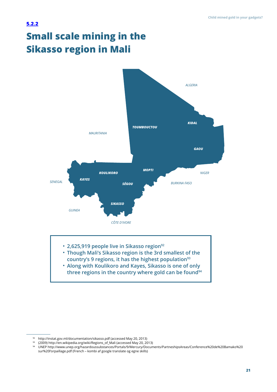# <span id="page-20-0"></span>**Small scale mining in the Sikasso region in Mali [5.2.2](#page-1-0)**



 $92$  <http://instat.gov.ml/documentation/sikasso.pdf> (accessed May 20, 2013)

<sup>(2009</sup>[\) http://en.wikipedia.org/wiki/Regions\\_of\\_Mali](http://en.wikipedia.org/wiki/Regions_of_Mali) (accessed May 20, 2013) 93

UNEP [http://www.unep.org/hazardoussubstances/Portals/9/Mercury/Documents/PartneshipsAreas/Conference%20de%20Bamako%20](http://www.unep.org/hazardoussubstances/Portals/9/Mercury/Documents/PartneshipsAreas/Conference%20de%20Bamako%20sur%20l) [sur%20l'orpaillage.pdf](http://www.unep.org/hazardoussubstances/Portals/9/Mercury/Documents/PartneshipsAreas/Conference%20de%20Bamako%20sur%20l) (French – kombi af google translate og egne skills) 94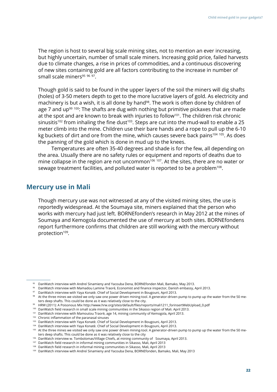The region is host to several big scale mining sites, not to mention an ever increasing, but highly uncertain, number of small scale miners. Increasing gold price, failed harvests due to climate changes, a rise in prices of commodities, and a continuous discovering of new sites containing gold are all factors contributing to the increase in number of small scale miners $95\,96\,97$ .

Though gold is said to be found in the upper layers of the soil the miners will dig shafts (holes) of 3-50 meters depth to get to the more lucrative layers of gold. As electricity and machinery is but a wish, it is all done by hand<sup>98</sup>. The work is often done by children of age 7 and up<sup>99 100</sup>: The shafts are dug with nothing but primitive pickaxes that are made at the spot and are known to break with injuries to follow<sup>101</sup>. The children risk chronic sinusitis<sup>102</sup> from inhaling the fine dust<sup>103</sup>. Steps are cut into the mud-wall to enable a 25 meter climb into the mine. Children use their bare hands and a rope to pull up the 6-10 kg buckets of dirt and ore from the mine, which causes severe back pains<sup>104 105</sup>. As does the panning of the gold which is done in mud up to the knees.

Temperatures are often 35-40 degrees and shade is for the few, all depending on the area. Usually there are no safety rules or equipment and reports of deaths due to mine collapse in the region are not uncommon<sup>106 107</sup>. At the sites, there are no water or sewage treatment facilities, and polluted water is reported to be a problem<sup>108</sup>.

#### **Mercury use in Mali**

Though mercury use was not witnessed at any of the visited mining sites, the use is reportedly widespread. At the Soumaya site, miners explained that the person who works with mercury had just left. BORNEfonden's research in May 2012 at the mines of Soumaya and Kemogola documented the use of mercury at both sites. BORNEfondens report furthermore confirms that children are still working with the mercury without protection<sup>109</sup>*.*

<sup>104</sup> DanWatch interview with Yaya Konatè. Chief of Social Development in Bougouni, April 2013.

 $95$  DanWatch interview with Andreí Sinamieny and Yacouba Dena, BORNEfonden Mali, Bamako, May 2013.

 $96$  DanWatch interview with Mamadou Lamine Traoré, Economist and finance inspector, Danish embassy, April 2013.

 $97$  DanWatch interview with Yaya Konatè. Chief of Social Development in Bougouni, April 2013.

 $98$  At the three mines we visited we only saw one power driven mining-tool. A generator-driven pump to pump up the water from the 50 meters deep shafts. This could be done as it was relatively close to the city.

HRW (2011): A Poisonous Mix [http://www.hrw.org/sites/default/files/reports/mali1211\\_forinsertWebUpload\\_0.pdf](http://www.hrw.org/sites/default/files/reports/mali1211_forinsertWebUpload_0.pdf) 99

<sup>&</sup>lt;sup>100</sup> DanWatch field research in small scale mining communities in the Sikasso region of Mali. April 2013.

<sup>&</sup>lt;sup>101</sup> DanWatch interview with Mamoutou Traorè, age 14, mining community of Kemogola, April 2013.

Chronic inflammation of the paranasal sinuses 102

<sup>&</sup>lt;sup>103</sup> DanWatch interview with Yaya Konatè. Chief of Social Development in Bougouni, April 2013.

<sup>&</sup>lt;sup>105</sup> At the three mines we visited we only saw one power driven mining-tool. A generator-driven pump to pump up the water from the 50 meters deep shafts. This could be done as it was relatively close to the city

<sup>&</sup>lt;sup>106</sup> DanWatch interview w. Tombolomas/Village Chiefs, at mining community of Soumaya, April 2013.

<sup>&</sup>lt;sup>107</sup> DanWatch field research in informal mining communities in Sikasso, Mali, April 2013

<sup>&</sup>lt;sup>108</sup> DanWatch field research in informal mining communities in Sikasso, Mali, April 2013

<sup>109</sup> DanWatch interview with Andreí Sinamieny and Yacouba Dena, BORNEfonden, Bamako, Mali, May 2013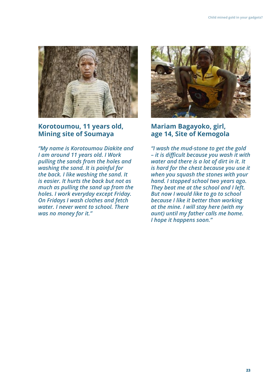

## **Korotoumou, 11 years old, Mining site of Soumaya**

*"My name is Korotoumou Diakite and I am around 11 years old. I Work pulling the sands from the holes and washing the sand. It is painful for the back. I like washing the sand. It is easier. It hurts the back but not as much as pulling the sand up from the holes. I work everyday except Friday. On Fridays I wash clothes and fetch water. I never went to school. There was no money for it."* 



## **Mariam Bagayoko, girl, age 14, Site of Kemogola**

*"I wash the mud-stone to get the gold – it is difficult because you wash it with water and there is a lot of dirt in it. It is hard for the chest because you use it when you squash the stones with your hand. I stopped school two years ago. They beat me at the school and I left. But now I would like to go to school because I like it better than working at the mine. I will stay here (with my aunt) until my father calls me home. I hope it happens soon."*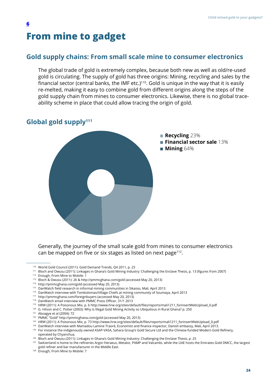# **From mine to gadget**

### **Gold supply chains: From small scale mine to consumer electronics**

The global trade of gold is extremely complex, because both new as well as old/re-used gold is circulating. The supply of gold has three origins: Mining, recycling and sales by the financial sector (central banks, the IMF etc.)<sup>110</sup>. Gold is unique in the way that it is easily re-melted, making it easy to combine gold from different origins along the steps of the gold supply chain from mines to consumer electronics. Likewise, there is no global traceability scheme in place that could allow tracing the origin of gold.

### **Global gold supply111**

<span id="page-23-0"></span>**[6](#page-1-0)**



Generally, the journey of the small scale gold from mines to consumer electronics can be mapped on five or six stages as listed on next page<sup>112</sup>.

<sup>112</sup> Enough, From Mine to Mobile: 1

- <sup>114</sup> <http://pmmcghana.com/gold> (accessed May 20, 2013)
- <sup>115</sup> DanWatch field research in informal mining communities in Sikasso, Mali, April 2013
- $116$  DanWatch interview with Tombolomas/Village Chiefs at mining community of Soumaya, April 2013
- <sup>117</sup> <http://pmmcghana.com/foreignbuyers>(accessed May 20, 2013)
- <sup>118</sup> DanWatch email interview with PMMC Press Officer, 31/1 2013
- 119 HRW (2011): A Poisonous Mix, p. 6 [http://www.hrw.org/sites/default/files/reports/mali1211\\_forinsertWebUpload\\_0.pdf](http://www.hrw.org/sites/default/files/reports/mali1211_forinsertWebUpload_0.pdf)
- <sup>120</sup> G. Hilson and C. Potter (2003): Why Is Illegal Gold Mining Activity so Ubiquitous in Rural Ghana? p. 250
- Aboagye et al (2004): 72 121

- 123 HRW (2011): A Poisonous Mix, p. 73 [http://www.hrw.org/sites/default/files/reports/mali1211\\_forinsertWebUpload\\_0.pdf](http://www.hrw.org/sites/default/files/reports/mali1211_forinsertWebUpload_0.pdf)
- $^{124}$  DanWatch interview with Mamadou Lamine Traoré, Economist and finance inspector, Danish embassy, Mali, April 2013.
- <sup>125</sup> For instance the indigenously owned [ASAP-VASA,](http://www.asapvasa.com/site/homes/index) Sahara Group's [Gold Secure Ltd](http://www.saharagroupuk.eu/15_goldscure.html) and the Chinese-funded [Modern Gold Refinery](http://www.chyuanchya.com/projects_modern_gold_refinery.htm), operated by Chyanchua.
- <sup>126</sup> Bloch and Owusu (2011): Linkages in Ghana's Gold Mining Industry: Challenging the Enclave Thesis, p. 25
- <sup>127</sup> Switzerland is home to the refineries [Argor-Heraeus](http://www.argor.com/), [Metalor](http://www.metalor.com/), [PAMP a](http://www.pamp.ch/)nd [Valcambi,](http://www.valcambi.com/) while the UAE hosts the [Emirates Gold DMCC](http://www.emiratesgold.ae), the largest gold refiner and bar manufacturer in the Middle East.
- 128 Enough, From Mine to Mobile: 7

World Gold Council (2011): Gold Demand Trends, Q4 2011, p. 23 110

<sup>&</sup>lt;sup>111</sup> Bloch and Owusu (2011): Linkages in Ghana's Gold Mining Industry: Challenging the Enclave Thesis, p. 13 (figures from 2007)

<sup>&</sup>lt;sup>113</sup> Bloch & Owusu (2011): 26 &<http://pmmcghana.com/gold> (accessed May 20, 2013)

PMMC "Gold"<http://pmmcghana.com/gold> (accessed May 20, 2013) 122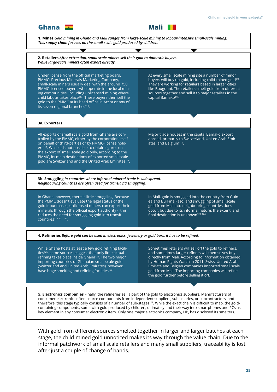

stage, the child-mined gold unnoticed makes its way through the value chain. Due to the informal patchwork of small scale retailers and many small suppliers, traceability is lost after just a couple of change of hands.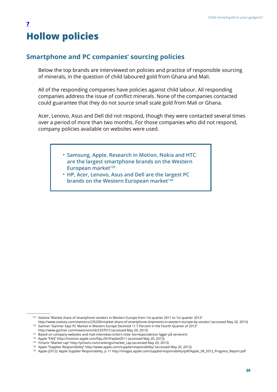# <span id="page-25-0"></span>**Hollow policies [7](#page-1-0)**

### **Smartphone and PC companies' sourcing policies**

Below the top brands are interviewed on policies and practice of responsible sourcing of minerals, in the question of child laboured gold from Ghana and Mali.

All of the responding companies have policies against child labour. All responding companies address the issue of conflict minerals. None of the companies contacted could guarantee that they do not source small scale gold from Mali or Ghana.

Acer, Lenovo, Asus and Dell did not respond, though they were contacted several times over a period of more than two months. For those companies who did not respond, company policies available on websites were used.

- **Samsung, Apple, Research in Motion, Nokia and HTC are the largest smartphone brands on the Western European market129**
- **HP, Acer, Lenovo, Asus and Dell are the largest PC brands on the Western European market**<sup>130</sup>

 $129$  [Statista](http://www.statista.com/statistics/235330/market-share-of-smartphone-shipments-in-western-europe-by-vendor/) "Market share of smartphone vendors in Western Europe from 1st quarter 2011 to 1st quarter 2012"

<http://www.statista.com/statistics/235330/market-share-of-smartphone-shipments-in-western-europe-by-vendor/>(accessed May 20, 2013) <sup>130</sup> Gartner "Gartner Says PC Market in Western Europe Declined 11.7 Percent in the Fourth Quarter of 2012"

<http://www.gartner.com/newsroom/id/2337015>(accessed May 20, 2013)

 $131$  Based on company websites and mail interviews (intern note: korrespondencer ligger på serveren)

<sup>&</sup>lt;sup>132</sup> Apple "FAQ" <http://investor.apple.com/faq.cfm?FaqSetID=1> (accessed May 20, 2013)

<sup>&</sup>lt;sup>133</sup> Ycharts "Market cap" [http://ycharts.com/rankings/market\\_cap](http://ycharts.com/rankings/market_cap) (accessed May 20, 2013)

<sup>&</sup>lt;sup>134</sup> Apple "Supplier Responsibility"<http://www.apple.com/supplierresponsibility/>(accessed May 20, 2013)

<sup>135</sup> Apple (2012): Apple Supplier Responsibility, p 11 [http://images.apple.com/supplierresponsibility/pdf/Apple\\_SR\\_2012\\_Progress\\_Report.pdf](http://images.apple.com/supplierresponsibility/pdf/Apple_SR_2012_Progress_Report.pdf)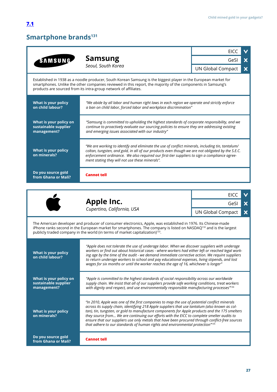## <span id="page-26-0"></span>**Smartphone brands131**

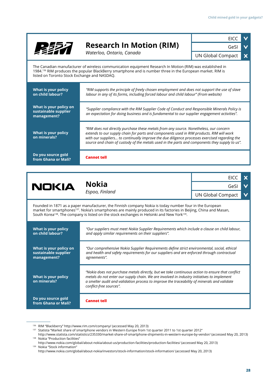

**What is your policy on minerals?**

**Do you source gold from Ghana or Mali?** **Cannot tell**

*conflict-free sources".* 

*a smelter audit and validation process to improve the traceability of minerals and validate* 

RIM "Blackberry"<http://www.rim.com/company/> (accessed May 20, 2013) 136

 $137$  Statista "Market share of smartphone vendors in Western Europe from 1st quarter 2011 to 1st quarter 2012"

<http://www.statista.com/statistics/235330/market-share-of-smartphone-shipments-in-western-europe-by-vendor/>(accessed May 20, 2013) <sup>138</sup> Nokia "Production facilities"

<http://www.nokia.com/global/about-nokia/about-us/production-facilities/production-facilities/>(accessed May 20, 2013) <sup>139</sup> Nokia "Stock information"

<http://www.nokia.com/global/about-nokia/investors/stock-information/stock-information/>(accessed May 20, 2013)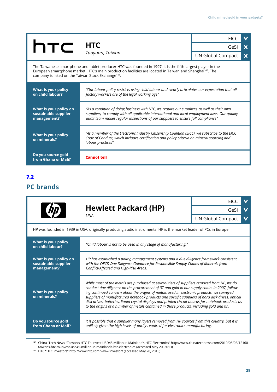<span id="page-28-0"></span>

|                                                                                                                                                                                                                                                                                                        |                                                                                                                                                                                                                                                                                 | <b>EICC</b>              |   |
|--------------------------------------------------------------------------------------------------------------------------------------------------------------------------------------------------------------------------------------------------------------------------------------------------------|---------------------------------------------------------------------------------------------------------------------------------------------------------------------------------------------------------------------------------------------------------------------------------|--------------------------|---|
| <b>htc</b>                                                                                                                                                                                                                                                                                             | <b>HTC</b>                                                                                                                                                                                                                                                                      | GeSI                     | X |
|                                                                                                                                                                                                                                                                                                        | Taoyuan, Taiwan                                                                                                                                                                                                                                                                 | <b>UN Global Compact</b> | X |
| The Taiwanese smartphone and tablet producer HTC was founded in 1997. It is the fifth-largest player in the<br>European smartphone market. HTC's main production facilities are located in Taiwan and Shanghai <sup>140</sup> . The<br>company is listed on the Taiwan Stock Exchange <sup>141</sup> . |                                                                                                                                                                                                                                                                                 |                          |   |
| What is your policy<br>on child labour?                                                                                                                                                                                                                                                                | "Our labour policy restricts using child labour and clearly articulates our expectation that all<br>factory workers are of the legal working age"                                                                                                                               |                          |   |
| What is your policy on<br>sustainable supplier<br>management?                                                                                                                                                                                                                                          | "As a condition of doing business with HTC, we require our suppliers, as well as their own<br>suppliers, to comply with all applicable international and local employment laws. Our quality<br>audit team makes regular inspections of our suppliers to ensure full compliance" |                          |   |
| What is your policy<br>on minerals?                                                                                                                                                                                                                                                                    | "As a member of the Electronic Industry Citizenship Coalition (EICC), we subscribe to the EICC<br>Code of Conduct, which includes certification and policy criteria on mineral sourcing and<br>labour practices"                                                                |                          |   |
| Do you source gold<br>from Ghana or Mali?                                                                                                                                                                                                                                                              | <b>Cannot tell</b>                                                                                                                                                                                                                                                              |                          |   |

# **PC brands [7](#page-1-0).2**

|                                                                                                                  | <b>Hewlett Packard (HP)</b><br><b>USA</b>                                                                                                                                                                                                                                                                                                                                                                                                                                                                                                                                                         |                          |  |  |
|------------------------------------------------------------------------------------------------------------------|---------------------------------------------------------------------------------------------------------------------------------------------------------------------------------------------------------------------------------------------------------------------------------------------------------------------------------------------------------------------------------------------------------------------------------------------------------------------------------------------------------------------------------------------------------------------------------------------------|--------------------------|--|--|
|                                                                                                                  |                                                                                                                                                                                                                                                                                                                                                                                                                                                                                                                                                                                                   | GeSI                     |  |  |
|                                                                                                                  |                                                                                                                                                                                                                                                                                                                                                                                                                                                                                                                                                                                                   | <b>UN Global Compact</b> |  |  |
| HP was founded in 1939 in USA, originally producing audio instruments. HP is the market leader of PCs in Europe. |                                                                                                                                                                                                                                                                                                                                                                                                                                                                                                                                                                                                   |                          |  |  |
| What is your policy<br>on child labour?                                                                          | "Child labour is not to be used in any stage of manufacturing."                                                                                                                                                                                                                                                                                                                                                                                                                                                                                                                                   |                          |  |  |
| What is your policy on<br>sustainable supplier<br>management?                                                    | HP has established a policy, management systems and a due diligence framework consistent<br>with the OECD Due Diligence Guidance for Responsible Supply Chains of Minerals from<br>Conflict-Affected and High-Risk Areas.                                                                                                                                                                                                                                                                                                                                                                         |                          |  |  |
| What is your policy<br>on minerals?                                                                              | While most of the metals are purchased at several tiers of suppliers removed from HP, we do<br>conduct due diligence on the procurement of 3T and gold in our supply chain. In 2007, follow-<br>ing continued concern about the origins of metals used in electronic products, we surveyed<br>suppliers of manufactured notebook products and specific suppliers of hard disk drives, optical<br>disk drives, batteries, liquid crystal displays and printed circuit boards for notebook products as<br>to the origins of a number of metals contained in those products, including gold and tin. |                          |  |  |
| Do you source gold<br>from Ghana or Mali?                                                                        | It is possible that a supplier many layers removed from HP sources from this country, but it is<br>unlikely given the high levels of purity required for electronics manufacturing.                                                                                                                                                                                                                                                                                                                                                                                                               |                          |  |  |

China Tech News "Taiwan's HTC To Invest USD45 Million In Mainland's HTC Electronics" [http://www.chinatechnews.com/2010/06/03/12160](http://www.chinatechnews.com/2010/06/03/12160-taiwans-htc-to-invest-usd45-million-in-mainlands-htc-electronics) [taiwans-htc-to-invest-usd45-million-in-mainlands-htc-electronics](http://www.chinatechnews.com/2010/06/03/12160-taiwans-htc-to-invest-usd45-million-in-mainlands-htc-electronics) (accessed May 20, 2013) 140

HTC "HTC investors"<http://www.htc.com/www/investor/> (accessed May 20, 2013) 141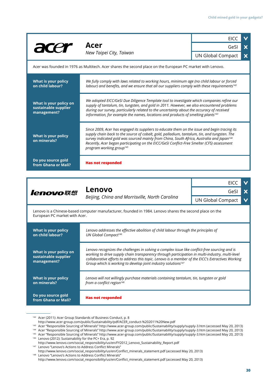|                                                               | Acer                                                                                                                                                                                                                                                                                                                                                                                                                                         | <b>EICC</b>              | $\checkmark$              |
|---------------------------------------------------------------|----------------------------------------------------------------------------------------------------------------------------------------------------------------------------------------------------------------------------------------------------------------------------------------------------------------------------------------------------------------------------------------------------------------------------------------------|--------------------------|---------------------------|
|                                                               |                                                                                                                                                                                                                                                                                                                                                                                                                                              | GeSI                     | $\boldsymbol{\mathsf{x}}$ |
|                                                               | New Taipei City, Taiwan                                                                                                                                                                                                                                                                                                                                                                                                                      | <b>UN Global Compact</b> | $\boldsymbol{\mathsf{x}}$ |
|                                                               | Acer was founded in 1976 as Multitech. Acer shares the second place on the European PC market with Lenovo.                                                                                                                                                                                                                                                                                                                                   |                          |                           |
| What is your policy<br>on child labour?                       | We fully comply with laws related to working hours, minimum age (no child labour or forced<br>labour) and benefits, and we ensure that all our suppliers comply with these requirements <sup>142</sup>                                                                                                                                                                                                                                       |                          |                           |
| What is your policy on<br>sustainable supplier<br>management? | We adopted EICC/GeSI Due Diligence Template tool to investigate which companies refine our<br>supply of tantalum, tin, tungsten, and gold in 2011. However, we also encountered problems<br>during our survey, particularly related to the uncertainty about the accuracy of received<br>information, for example the names, locations and products of smelting plants <sup>143</sup>                                                        |                          |                           |
| What is your policy<br>on minerals?                           | Since 2009, Acer has engaged its suppliers to educate them on the issue and begin tracing its<br>supply chain back to the source of cobalt, gold, palladium, tantalum, tin, and tungsten. The<br>survey indicated gold was sourced mainly from China, South Africa, Australia and Japan <sup>144</sup><br>Recently, Acer began participating on the EICC/GeSI Conflict-Free Smelter (CFS) assessment<br>program working group <sup>145</sup> |                          |                           |
| Do you source gold<br>from Ghana or Mali?                     | <b>Has not responded</b>                                                                                                                                                                                                                                                                                                                                                                                                                     |                          |                           |
|                                                               |                                                                                                                                                                                                                                                                                                                                                                                                                                              |                          |                           |
| lenovo联想                                                      |                                                                                                                                                                                                                                                                                                                                                                                                                                              | <b>EICC</b>              |                           |
|                                                               | Lenovo<br>Beijing, China and Morrisville, North Carolina                                                                                                                                                                                                                                                                                                                                                                                     | GeSI                     | X                         |
|                                                               |                                                                                                                                                                                                                                                                                                                                                                                                                                              | <b>UN Global Compact</b> |                           |

Lenovo is a Chinese-based computer manufacturer, founded in 1984. Lenovo shares the second place on the European PC market with Acer.

| What is your policy                                           | Lenovo addresses the effective abolition of child labour through the principles of                                                                                                                                                                                                                                                                                                  |
|---------------------------------------------------------------|-------------------------------------------------------------------------------------------------------------------------------------------------------------------------------------------------------------------------------------------------------------------------------------------------------------------------------------------------------------------------------------|
| on child labour?                                              | UN Global Compact <sup>146</sup>                                                                                                                                                                                                                                                                                                                                                    |
| What is your policy on<br>sustainable supplier<br>management? | Lenovo recognizes the challenges in solving a complex issue like conflict-free sourcing and is<br>working to drive supply chain transparency through participation in multi-industry, multi-level<br>collaborative efforts to address this topic. Lenovo is a member of the EICC's Extractives Working<br>Group which is working to develop joint industry solutions <sup>147</sup> |
| What is your policy                                           | Lenovo will not willingly purchase materials containing tantalum, tin, tungsten or gold                                                                                                                                                                                                                                                                                             |
| on minerals?                                                  | from a conflict region <sup>148</sup>                                                                                                                                                                                                                                                                                                                                               |
| Do you source gold<br>from Ghana or Mali?                     | <b>Has not responded</b>                                                                                                                                                                                                                                                                                                                                                            |

<sup>&</sup>lt;sup>142</sup> Acer (2011): Acer Group Standards of Business Conduct, p. 8

[http://www.acer-group.com/public/Sustainability/pdf/ACER\\_conduct-%202011%20New.pdf](http://www.acer-group.com/public/Sustainability/pdf/ACER_conduct-%202011%20New.pdf)

<sup>&</sup>lt;sup>143</sup> Acer "Responsible Sourcing of Minerals"<http://www.acer-group.com/public/Sustainability/supply/supply-3.htm>(accessed May 20, 2013)

<sup>&</sup>lt;sup>144</sup> Acer "Responsible Sourcing of Minerals"<http://www.acer-group.com/public/Sustainability/supply/supply-3.htm>(accessed May 20, 2013) <sup>145</sup> Acer "Responsible Sourcing of Minerals"<http://www.acer-group.com/public/Sustainability/supply/supply-3.htm>(accessed May 20, 2013)

<sup>&</sup>lt;sup>146</sup> Lenovo (2012): Sustainability for the PC+ Era, p. 92

[http://www.lenovo.com/social\\_responsibility/us/en/FY2012\\_Lenovo\\_Sustainability\\_Report.pdf](http://www.lenovo.com/social_responsibility/us/en/FY2012_Lenovo_Sustainability_Report.pdf)

<sup>&</sup>lt;sup>147</sup> Lenovo "Lenovo's Actions to Address Conflict Minerals" [http://www.lenovo.com/social\\_responsibility/us/en/Conflict\\_minerals\\_statement.pdf](http://www.lenovo.com/social_responsibility/us/en/Conflict_minerals_statement.pdf) (accessed May 20, 2013) <sup>148</sup> Lenovo "Lenovo's Actions to Address Conflict Minerals"

[http://www.lenovo.com/social\\_responsibility/us/en/Conflict\\_minerals\\_statement.pdf](http://www.lenovo.com/social_responsibility/us/en/Conflict_minerals_statement.pdf) (accessed May 20, 2013)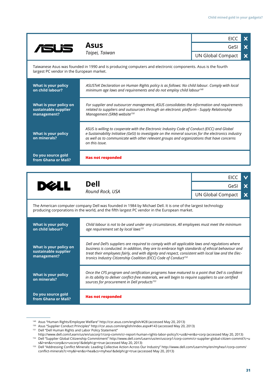|                                                                                                                                                          | <b>Asus</b>                                                                                                                                                                                                                                                                                                                                                                               | <b>EICC</b>                      | $\boldsymbol{\mathsf{x}}$      |  |
|----------------------------------------------------------------------------------------------------------------------------------------------------------|-------------------------------------------------------------------------------------------------------------------------------------------------------------------------------------------------------------------------------------------------------------------------------------------------------------------------------------------------------------------------------------------|----------------------------------|--------------------------------|--|
|                                                                                                                                                          |                                                                                                                                                                                                                                                                                                                                                                                           | GeSI                             | $\boldsymbol{\mathsf{x}}$      |  |
|                                                                                                                                                          | Taipei, Taiwan                                                                                                                                                                                                                                                                                                                                                                            | <b>UN Global Compact</b>         | $\boldsymbol{\mathsf{x}}$      |  |
| Taiwanese Asus was founded in 1990 and is producing computers and electronic components. Asus is the fourth<br>largest PC vendor in the European market. |                                                                                                                                                                                                                                                                                                                                                                                           |                                  |                                |  |
| What is your policy<br>on child labour?                                                                                                                  | ASUSTeK Declaration on Human Rights policy is as follows: No child labour. Comply with local<br>minimum age laws and requirements and do not employ child labour <sup>149</sup>                                                                                                                                                                                                           |                                  |                                |  |
| What is your policy on<br>sustainable supplier<br>management?                                                                                            | For supplier and outsourcer management, ASUS consolidates the information and requirements<br>related to suppliers and outsourcers through an electronic platform - Supply Relationship<br>Management (SRM) website <sup>150</sup>                                                                                                                                                        |                                  |                                |  |
| What is your policy<br>on minerals?                                                                                                                      | ASUS is willing to cooperate with the Electronic Industry Code of Conduct (EICC) and Global<br>e-Sustainability Initiative (GeSI) to investigate on the mineral sources for the electronics industry<br>as well as to communicate with other relevant groups and organizations that have concerns<br>on this issue.                                                                       |                                  |                                |  |
| Do you source gold<br>from Ghana or Mali?                                                                                                                | <b>Has not responded</b>                                                                                                                                                                                                                                                                                                                                                                  |                                  |                                |  |
|                                                                                                                                                          |                                                                                                                                                                                                                                                                                                                                                                                           |                                  |                                |  |
|                                                                                                                                                          | <b>Dell</b>                                                                                                                                                                                                                                                                                                                                                                               | <b>EICC</b>                      |                                |  |
| <b>DELL</b>                                                                                                                                              | Round Rock, USA                                                                                                                                                                                                                                                                                                                                                                           | GeSI<br><b>UN Global Compact</b> | X<br>$\boldsymbol{\mathsf{x}}$ |  |
|                                                                                                                                                          |                                                                                                                                                                                                                                                                                                                                                                                           |                                  |                                |  |
|                                                                                                                                                          | The American computer company Dell was founded in 1984 by Michael Dell. It is one of the largest technology<br>producing corporations in the world, and the fifth largest PC vendor in the European market.                                                                                                                                                                               |                                  |                                |  |
| What is your policy<br>on child labour?                                                                                                                  | Child labour is not to be used under any circumstances. All employees must meet the minimum<br>age requirement set by local laws <sup>151</sup>                                                                                                                                                                                                                                           |                                  |                                |  |
| What is your policy on<br>sustainable supplier<br>management?                                                                                            | Dell and Dell's suppliers are required to comply with all applicable laws and regulations where<br>business is conducted. In addition, they are to embrace high standards of ethical behaviour and<br>treat their employees fairly, and with dignity and respect, consistent with local law and the Elec-<br>tronics Industry Citizenship Coalition (EICC) Code of Conduct <sup>152</sup> |                                  |                                |  |
| What is your policy<br>on minerals?                                                                                                                      | Once the CFS program and certification programs have matured to a point that Dell is confident<br>in its ability to deliver conflict-free materials, we will begin to require suppliers to use certified<br>sources for procurement in Dell products <sup>153</sup>                                                                                                                       |                                  |                                |  |
| Do you source gold<br>from Ghana or Mali?                                                                                                                | <b>Has not responded</b>                                                                                                                                                                                                                                                                                                                                                                  |                                  |                                |  |

Asus "Human Rights/Employee Welfare" http://csr.asus.com/english/#28 (accessed May 20, 2013) 149

Asus "Supplier Conduct Principles" http://csr.asus.com/english/index.aspx#143 (accessed May 20, 2013) 150

Dell "Dell Human Rights and Labor Policy Statement" 151

<http://www.dell.com/Learn/us/en/uscorp1/corp-comm/cr-report-human-rights-labor-policy?c=us&l=en&s=corp>(accessed May 20, 2013) Dell "Supplier Global Citizenship Commitment" [http://www.dell.com/Learn/us/en/uscorp1/corp-comm/cr-supplier-global-citizen-commit?c=u](http://www.dell.com/Learn/us/en/uscorp1/corp-comm/cr-supplier-global-citizen-commit?c=us&l=en&s=corp&cs=uscorp1&delphi:gr=true) [s&l=en&s=corp&cs=uscorp1&delphi:gr=true](http://www.dell.com/Learn/us/en/uscorp1/corp-comm/cr-supplier-global-citizen-commit?c=us&l=en&s=corp&cs=uscorp1&delphi:gr=true) (accessed May 20, 2013) 152

Dell "Addressing Conflict Minerals: Leading Collective Action Across Our Industry" [http://www.dell.com/Learn/my/en/myhea1/corp-comm/](http://www.dell.com/Learn/my/en/myhea1/corp-comm/conflict-minerals?c=my&l=en&s=hea&cs=myhea1&delphi:gr=true) [conflict-minerals?c=my&l=en&s=hea&cs=myhea1&delphi:gr=true](http://www.dell.com/Learn/my/en/myhea1/corp-comm/conflict-minerals?c=my&l=en&s=hea&cs=myhea1&delphi:gr=true) (accessed May 20, 2013) 153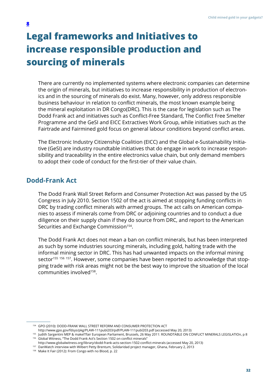# <span id="page-31-0"></span>**Legal frameworks and Initiatives to increase responsible production and sourcing of minerals**

There are currently no implemented systems where electronic companies can determine the origin of minerals, but initiatives to increase responsibility in production of electronics and in the sourcing of minerals do exist. Many, however, only address responsible business behaviour in relation to conflict minerals, the most known example being the mineral exploitation in DR Congo(DRC). This is the case for legislation such as The Dodd Frank act and initiatives such as Conflict-Free Standard, The Conflict Free Smelter Programme and the [GeSI and EICC Extractives Work Group](http://gesi.org/files/Reports/Extractives%20Workgroup%20Whitepaper%20FINAL%2006_25_12.pdf), while initiatives such as the Fairtrade and Fairmined gold focus on general labour conditions beyond conflict areas.

The Electronic Industry Citizenship Coalition (EICC) and the Global e-Sustainability Initiative (GeSI) are industry roundtable initiatives that do engage in work to increase responsibility and traceability in the entire electronics value chain, but only demand members to adopt their code of conduct for the first-tier of their value chain.

### **Dodd-Frank Act**

The Dodd Frank Wall Street Reform and Consumer Protection Act was passed by the US Congress in July 2010. Section 1502 of the act is aimed at stopping funding conflicts in DRC by trading conflict minerals with armed groups. The act calls on American companies to assess if minerals come from DRC or adjoining countries and to conduct a due diligence on their supply chain if they do source from DRC, and report to the American Securities and Exchange Commission<sup>154</sup>.

The Dodd Frank Act does not mean a ban on conflict minerals, but has been interpreted as such by some industries sourcing minerals, including gold, halting trade with the informal mining sector in DRC. This has had unwanted impacts on the informal mining sector<sup>155 156 157</sup>. However, some companies have been reported to acknowledge that stopping trade with risk areas might not be the best way to improve the situation of the local communities involved<sup>158</sup>.

GPO (2010): DODD-FRANK WALL STREET REFORM AND CONSUMER PROTECTION ACT 154

<http://www.gpo.gov/fdsys/pkg/PLAW-111publ203/pdf/PLAW-111publ203.pdf> (accessed May 20, 2013)

<sup>155</sup> Judith Sargentini MEP & makeITfair European Parliament, Brussels, 26 May 2011: ROUNDTABLE ON CONFLICT MINERALS LEGISLATIOn, p 8 Global Witness, "The Dodd Frank Act's Section 1502 on conflict minerals" 156

<http://www.globalwitness.org/library/dodd-frank-acts-section-1502-conflict-minerals> (accessed May 20, 2013)

<sup>&</sup>lt;sup>157</sup> DanWatch interview with Wilbert Petty Brentum, Solidaridad project manager, Ghana, February 2, 2013

Make It Fair (2012): From Congo with no Blood, p. 22 158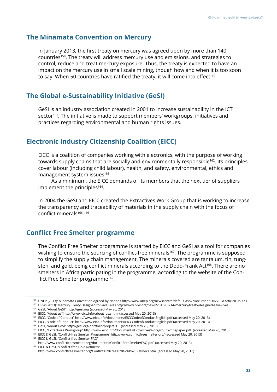#### **The Minamata Convention on Mercury**

In January 2013, the first treaty on mercury was agreed upon by more than 140 countries<sup>159</sup>. The treaty will address mercury use and emissions, and strategies to control, reduce and treat mercury exposure. Thus, the treaty is expected to have an impact on the mercury use in small scale mining, though how and when it is too soon to say. When 50 countries have ratified the treaty, it will come into effect<sup>160</sup>.

#### **The Global e-Sustainability Initiative (GeSI)**

GeSI is an industry association created in 2001 to increase sustainability in the ICT sector<sup>161</sup>. The initiative is made to support members' workgroups, initiatives and practices regarding environmental and human rights issues.

### **Electronic Industry Citizenship Coalition (EICC)**

EICC is a coalition of companies working with electronics, with the purpose of working towards supply chains that are socially and environmentally responsible<sup>162</sup>. Its principles cover labour (including child labour), health, and safety, environmental, ethics and management system issues $163$ .

As a minimum, the EICC demands of its members that the next tier of suppliers implement the principles<sup>164</sup>.

In 2004 the [GeSI and EICC created the Extractives Work Group](http://gesi.org/files/Reports/Extractives%20Workgroup%20Whitepaper%20FINAL%2006_25_12.pdf) that is working to increase the transparency and traceability of materials in the supply chain with the focus of conflict minerals<sup>165</sup> 166.

# **Conflict Free Smelter programme**

The Conflict Free Smelter programme is started by EICC and GeSI as a tool for companies wishing to ensure the sourcing of conflict-free minerals<sup>167</sup>. The programme is supposed to simplify the supply chain management. The minerals covered are tantalum, tin, tungsten, and gold, being conflict minerals according to the Dodd-Frank Act<sup>168</sup>. There are no smelters in Africa participating in the programme, according to the website of the Conflict Free Smelter programme<sup>169</sup>.

<sup>&</sup>lt;sup>159</sup> UNEP (2013): Minamata Convention Agreed by Nations<http://www.unep.org/newscentre/default.aspx?DocumentID=2702&ArticleID=9373>

<sup>&</sup>lt;sup>160</sup> HRW (2013): [Mercury Treaty Designed to Save Lives](http://www.hrw.org/news/2013/03/14/mercury-treaty-designed-save-lives) <http://www.hrw.org/news/2013/03/14/mercury-treaty-designed-save-lives>

<sup>&</sup>lt;sup>161</sup> GeSI, "About GeSI" [http://gesi.org](http://gesi.org/) (accessed May 20, 2013)

<sup>&</sup>lt;sup>162</sup> EICC, "About us" [http://www.eicc.info/about\\_us.shtml](http://www.eicc.info/about_us.shtml) (accessed May 20, 2013)

EICC, "Code of Conduct" <http://www.eicc.info/documents/EICCCodeofConductEnglish.pdf> (accessed May 20, 2013) 163

EICC, "Code of Conduct" <http://www.eicc.info/documents/EICCCodeofConductEnglish.pdf> (accessed May 20, 2013) 164

<sup>&</sup>lt;sup>165</sup> GeSI, "About GeSI" <http://gesi.org/portfolio/project/15>(accessed May 20, 2013)

EICC, "Extractives Workgroup" <http://www.eicc.info/documents/ExtractivesWorkgroupWhitepaper.pdf> (accessed May 20, 2013) 166

EICC & GeSI, "Conflict-free Smelter Programme"<http://www.conflictfreesmelter.org/> (accessed May 20, 2013) 167

EICC & GeSI, "Conflict-free Smelter FAQ" 168

<http://www.conflictfreesmelter.org/documents/Conflict-FreeSmelterFAQ.pdf>(accessed May 20, 2013) EICC & GeSI, "Conflict-free Gold Refiners" 169

<http://www.conflictfreesmelter.org/Conflict%20Free%20Gold%20Refiners.htm> (accessed May 20, 2013)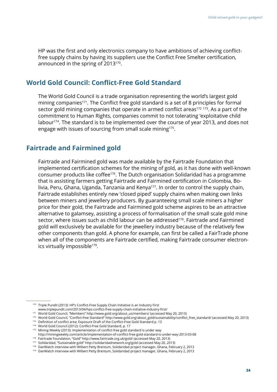HP was the first and only electronics company to have ambitions of achieving conflictfree supply chains by having its suppliers use the Conflict Free Smelter certification, announced in the spring of 2013170.

#### **World Gold Council: Conflict-Free Gold Standard**

The World Gold Council is a trade organisation representing the world's largest gold mining companies<sup>171</sup>. The Conflict free gold standard is a set of 8 principles for formal sector gold mining companies that operate in armed conflict areas<sup>172 173</sup>. As a part of the commitment to Human Rights, companies commit to not tolerating 'exploitative child labour<sup>174</sup>. The standard is to be implemented over the course of year 2013, and does not engage with issues of sourcing from small scale mining<sup>175</sup>.

### **Fairtrade and Fairmined gold**

Fairtrade and Fairmined gold was made available by the Fairtrade Foundation that implemented certification schemes for the mining of gold, as it has done with well-known consumer products like coffee176. The Dutch organisation Solidaridad has a programme that is assisting farmers getting Fairtrade and Fairmined certification in Colombia, Bolivia, Peru, Ghana, Uganda, Tanzania and Kenya<sup>177</sup>. In order to control the supply chain, Fairtrade establishes entirely new 'closed piped' supply chains when making own links between miners and jewellery producers. By guaranteeing small scale miners a higher price for their gold, the Fairtrade and Fairmined gold scheme aspires to be an attractive alternative to galamsey, assisting a process of formalisation of the small scale gold mine sector, where issues such as child labour can be addressed<sup>178</sup>. Fairtrade and Fairmined gold will exclusively be available for the jewellery industry because of the relatively few other components than gold. A phone for example, can first be called a FairTrade phone when all of the components are Fairtrade certified, making Fairtrade consumer electronics virtually impossible<sup>179</sup>.

- <sup>173</sup> Definition of conflict area: [Exposure Draft of the Conflict-Free Gold Standard](http://www.gold.org/download/pub_archive/pdf/wgc_conflict_free_gold_standard_exposure_draft_2012_march.pdf) p. 13
- World Gold Council (2012): Conflict-Free Gold Standard, p. 17 174
- <sup>175</sup> Mining Weekly (2013): Implementation of conflict-free gold standard is under way

<sup>&</sup>lt;sup>170</sup> Triple Pundit (2013): HP's Conflict-Free Supply Chain Initiative is an Industry First

[www.triplepundit.com/2013/04/hps-conflict-free-supply-chain-initiative-industry-first/](http://www.triplepundit.com/2013/04/hps-conflict-free-supply-chain-initiative-industry-first/)

World Gold Council, "Members" [http://www.gold.org/about\\_us/members/](http://www.gold.org/about_us/members/) (accessed May 20, 2013) 171

<sup>&</sup>lt;sup>172</sup> World Gold Council, "Conflict-free Standard" [http://www.gold.org/about\\_gold/sustainability/conflict\\_free\\_standard/](http://www.gold.org/about_gold/sustainability/conflict_free_standard/) (accessed May 20, 2013)

<http://miningweekly.com/article/implementation-of-conflict-free-gold-standard-is-under-way-2013-03-08>

Fairtrade Foundation, "Gold" <http://www.fairtrade.org.uk/gold/>(accessed May 20, 2013) 176

<sup>&</sup>lt;sup>177</sup> Solidaridad, "Sustainable gold"<http://solidaridadnetwork.org/gold> (accessed May 20, 2013)

 $^{178}$  DanWatch interview with Wilbert Petty Brentum, Solidaridad project manager, Ghana, February 2, 2013

 $^{179}$  DanWatch interview with Wilbert Petty Brentum, Solidaridad project manager, Ghana, February 2, 2013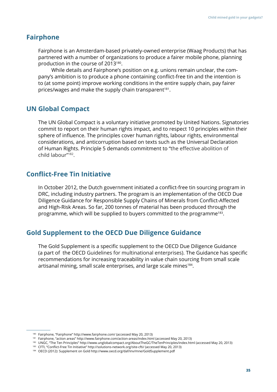#### **Fairphone**

Fairphone is an Amsterdam-based privately-owned enterprise (Waag Products) that has partnered with a number of organizations to produce a fairer mobile phone, planning production in the course of 2013180.

While details and Fairphone's position on e.g. unions remain unclear, the company's ambition is to produce a phone containing conflict-free tin and the intention is to (at some point) improve working conditions in the entire supply chain, pay fairer prices/wages and make the supply chain transparent<sup>181</sup>.

### **UN Global Compact**

The UN Global Compact is a voluntary initiative promoted by United Nations. Signatories commit to report on their human rights impact, and to respect 10 principles within their sphere of influence. The principles cover human rights, labour rights, environmental considerations, and anticorruption based on texts such as the Universal Declaration of Human Rights. Principle 5 demands commitment to "the effective abolition of child labour"182.

### **Conflict-Free Tin Initiative**

In October 2012, the Dutch government initiated a conflict-free tin sourcing program in DRC, including industry partners. The program is an implementation of the OECD Due Diligence Guidance for Responsible Supply Chains of Minerals from Conflict-Affected and High-Risk Areas. So far, 200 tonnes of material has been produced through the programme, which will be supplied to buyers committed to the programme<sup>183</sup>.

### **Gold Supplement to the OECD Due Diligence Guidance**

The Gold Supplement is a specific supplement to the OECD Due Diligence Guidance (a part of the OECD Guidelines for multinational enterprises). The Guidance has specific recommendations for increasing traceability in value chain sourcing from small scale artisanal mining, small scale enterprises, and large scale mines<sup>184</sup>.

<sup>&</sup>lt;sup>180</sup> Fairphone, "Fairphone" <http://www.fairphone.com/>(accessed May 20, 2013)

Fairphone, "action areas"<http://www.fairphone.com/action-areas/index.html> (accessed May 20, 2013) 181

<sup>&</sup>lt;sup>182</sup> UNGC, "The Ten Principles" <http://www.unglobalcompact.org/AboutTheGC/TheTenPrinciples/index.html> (accessed May 20, 2013)

CFTI, "Conflict-Free Tin Initiative" [http://solutions-network.org/site-cfti/](http://www.google.com/url?q=http%3A%2F%2Fsolutions-network.org%2Fsite-cfti%2F&sa=D&sntz=1&usg=AFQjCNFIWT8dk8OhjSAdzMNmgM3WqFGc3g) (accessed May 20, 2013) 183

OECD (2012): Supplement on Gold <http://www.oecd.org/daf/inv/mne/GoldSupplement.pdf> 184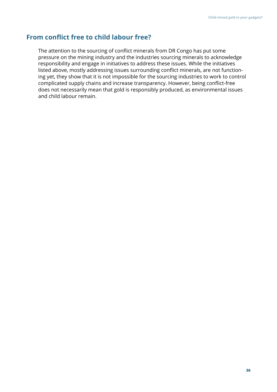# **From conflict free to child labour free?**

The attention to the sourcing of conflict minerals from DR Congo has put some pressure on the mining industry and the industries sourcing minerals to acknowledge responsibility and engage in initiatives to address these issues. While the initiatives listed above, mostly addressing issues surrounding conflict minerals, are not functioning yet, they show that it is not impossible for the sourcing industries to work to control complicated supply chains and increase transparency. However, being conflict-free does not necessarily mean that gold is responsibly produced, as environmental issues and child labour remain.